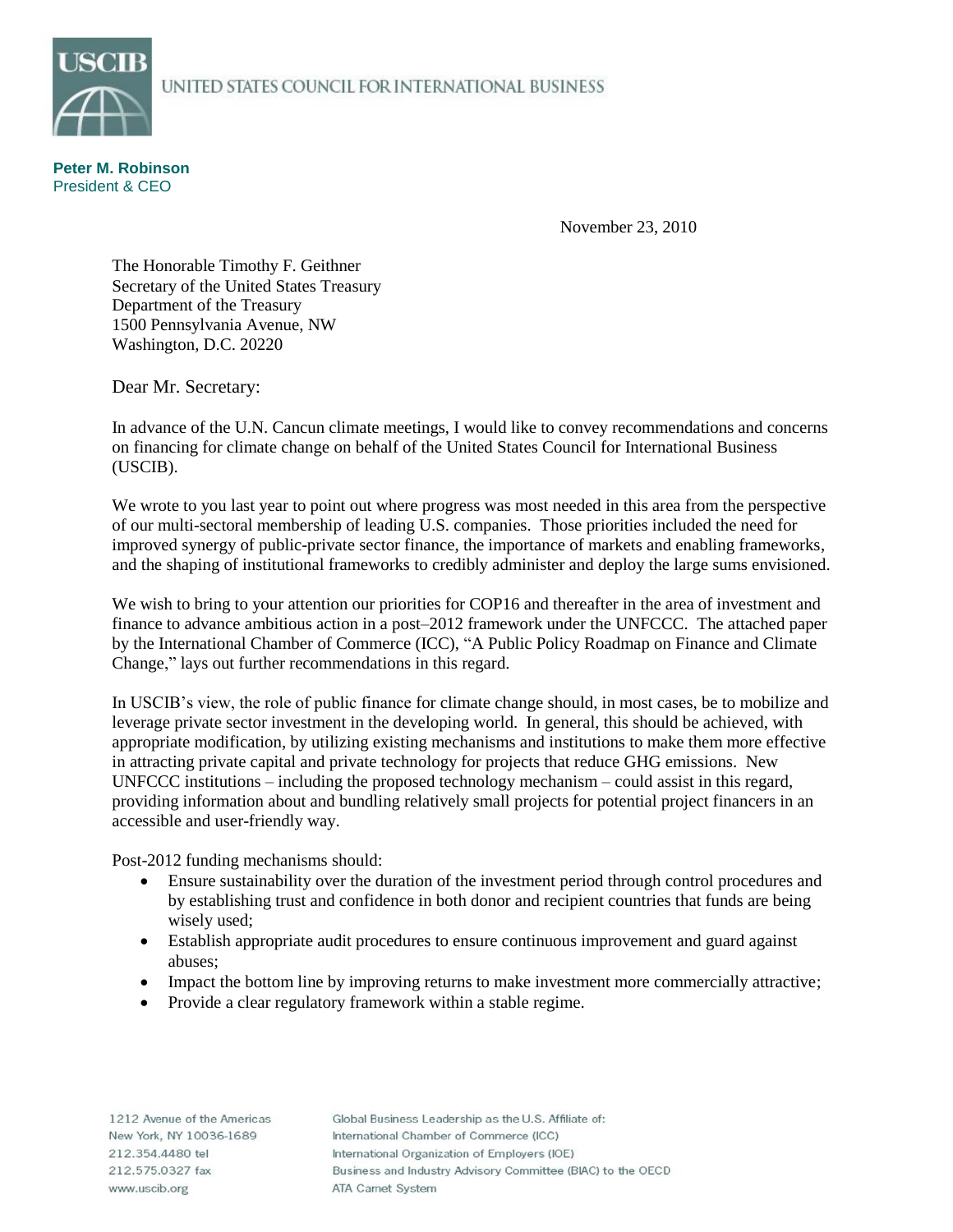## UNITED STATES COUNCIL FOR INTERNATIONAL BUSINESS



**Peter M. Robinson** President & CEO

November 23, 2010

The Honorable Timothy F. Geithner Secretary of the United States Treasury Department of the Treasury 1500 Pennsylvania Avenue, NW Washington, D.C. 20220

Dear Mr. Secretary:

In advance of the U.N. Cancun climate meetings, I would like to convey recommendations and concerns on financing for climate change on behalf of the United States Council for International Business (USCIB).

We wrote to you last year to point out where progress was most needed in this area from the perspective of our multi-sectoral membership of leading  $\overline{U.S.}$  companies. Those priorities included the need for improved synergy of public-private sector finance, the importance of markets and enabling frameworks, and the shaping of institutional frameworks to credibly administer and deploy the large sums envisioned.

We wish to bring to your attention our priorities for COP16 and thereafter in the area of investment and finance to advance ambitious action in a post–2012 framework under the UNFCCC. The attached paper by the International Chamber of Commerce (ICC), "A Public Policy Roadmap on Finance and Climate Change," lays out further recommendations in this regard.

In USCIB's view, the role of public finance for climate change should, in most cases, be to mobilize and leverage private sector investment in the developing world. In general, this should be achieved, with appropriate modification, by utilizing existing mechanisms and institutions to make them more effective in attracting private capital and private technology for projects that reduce GHG emissions. New UNFCCC institutions – including the proposed technology mechanism – could assist in this regard, providing information about and bundling relatively small projects for potential project financers in an accessible and user-friendly way.

Post-2012 funding mechanisms should:

- Ensure sustainability over the duration of the investment period through control procedures and by establishing trust and confidence in both donor and recipient countries that funds are being wisely used;
- Establish appropriate audit procedures to ensure continuous improvement and guard against abuses;
- Impact the bottom line by improving returns to make investment more commercially attractive;
- Provide a clear regulatory framework within a stable regime.